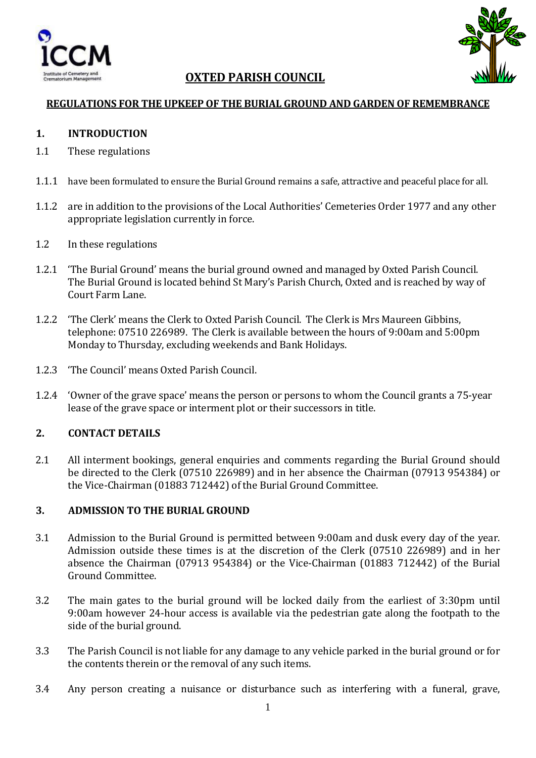



# **OXTED PARISH COUNCIL**

### **REGULATIONS FOR THE UPKEEP OF THE BURIAL GROUND AND GARDEN OF REMEMBRANCE**

### **1. INTRODUCTION**

- 1.1 These regulations
- 1.1.1 have been formulated to ensure the Burial Ground remains a safe, attractive and peaceful place for all.
- 1.1.2 are in addition to the provisions of the Local Authorities' Cemeteries Order 1977 and any other appropriate legislation currently in force.
- 1.2 In these regulations
- 1.2.1 'The Burial Ground' means the burial ground owned and managed by Oxted Parish Council. The Burial Ground is located behind St Mary's Parish Church, Oxted and is reached by way of Court Farm Lane.
- 1.2.2 'The Clerk' means the Clerk to Oxted Parish Council. The Clerk is Mrs Maureen Gibbins, telephone: 07510 226989. The Clerk is available between the hours of 9:00am and 5:00pm Monday to Thursday, excluding weekends and Bank Holidays.
- 1.2.3 'The Council' means Oxted Parish Council.
- 1.2.4 'Owner of the grave space' means the person or persons to whom the Council grants a 75-year lease of the grave space or interment plot or their successors in title.

### **2. CONTACT DETAILS**

2.1 All interment bookings, general enquiries and comments regarding the Burial Ground should be directed to the Clerk (07510 226989) and in her absence the Chairman (07913 954384) or the Vice-Chairman (01883 712442) of the Burial Ground Committee.

### **3. ADMISSION TO THE BURIAL GROUND**

- 3.1 Admission to the Burial Ground is permitted between 9:00am and dusk every day of the year. Admission outside these times is at the discretion of the Clerk (07510 226989) and in her absence the Chairman (07913 954384) or the Vice-Chairman (01883 712442) of the Burial Ground Committee.
- 3.2 The main gates to the burial ground will be locked daily from the earliest of 3:30pm until 9:00am however 24-hour access is available via the pedestrian gate along the footpath to the side of the burial ground.
- 3.3 The Parish Council is not liable for any damage to any vehicle parked in the burial ground or for the contents therein or the removal of any such items.
- 3.4 Any person creating a nuisance or disturbance such as interfering with a funeral, grave,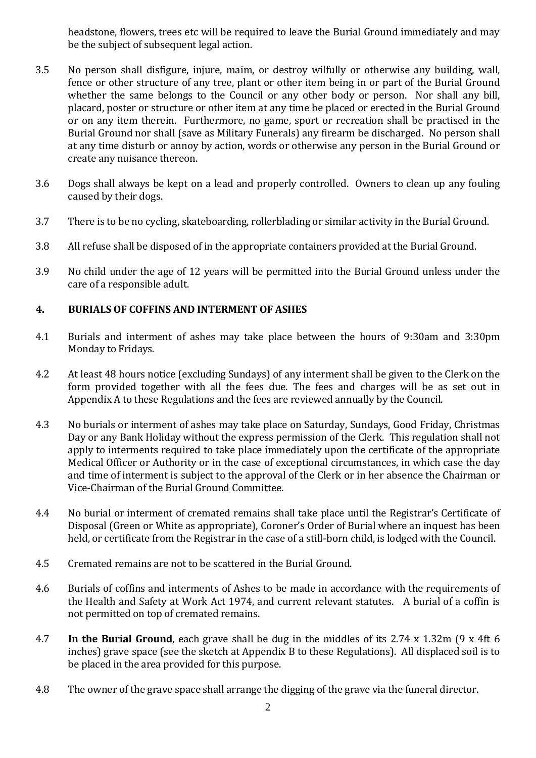headstone, flowers, trees etc will be required to leave the Burial Ground immediately and may be the subject of subsequent legal action.

- 3.5 No person shall disfigure, injure, maim, or destroy wilfully or otherwise any building, wall, fence or other structure of any tree, plant or other item being in or part of the Burial Ground whether the same belongs to the Council or any other body or person. Nor shall any bill, placard, poster or structure or other item at any time be placed or erected in the Burial Ground or on any item therein. Furthermore, no game, sport or recreation shall be practised in the Burial Ground nor shall (save as Military Funerals) any firearm be discharged. No person shall at any time disturb or annoy by action, words or otherwise any person in the Burial Ground or create any nuisance thereon.
- 3.6 Dogs shall always be kept on a lead and properly controlled. Owners to clean up any fouling caused by their dogs.
- 3.7 There is to be no cycling, skateboarding, rollerblading or similar activity in the Burial Ground.
- 3.8 All refuse shall be disposed of in the appropriate containers provided at the Burial Ground.
- 3.9 No child under the age of 12 years will be permitted into the Burial Ground unless under the care of a responsible adult.

### **4. BURIALS OF COFFINS AND INTERMENT OF ASHES**

- 4.1 Burials and interment of ashes may take place between the hours of 9:30am and 3:30pm Monday to Fridays.
- 4.2 At least 48 hours notice (excluding Sundays) of any interment shall be given to the Clerk on the form provided together with all the fees due. The fees and charges will be as set out in Appendix A to these Regulations and the fees are reviewed annually by the Council.
- 4.3 No burials or interment of ashes may take place on Saturday, Sundays, Good Friday, Christmas Day or any Bank Holiday without the express permission of the Clerk. This regulation shall not apply to interments required to take place immediately upon the certificate of the appropriate Medical Officer or Authority or in the case of exceptional circumstances, in which case the day and time of interment is subject to the approval of the Clerk or in her absence the Chairman or Vice-Chairman of the Burial Ground Committee.
- 4.4 No burial or interment of cremated remains shall take place until the Registrar's Certificate of Disposal (Green or White as appropriate), Coroner's Order of Burial where an inquest has been held, or certificate from the Registrar in the case of a still-born child, is lodged with the Council.
- 4.5 Cremated remains are not to be scattered in the Burial Ground.
- 4.6 Burials of coffins and interments of Ashes to be made in accordance with the requirements of the Health and Safety at Work Act 1974, and current relevant statutes. A burial of a coffin is not permitted on top of cremated remains.
- 4.7 **In the Burial Ground**, each grave shall be dug in the middles of its 2.74 x 1.32m (9 x 4ft 6 inches) grave space (see the sketch at Appendix B to these Regulations). All displaced soil is to be placed in the area provided for this purpose.
- 4.8 The owner of the grave space shall arrange the digging of the grave via the funeral director.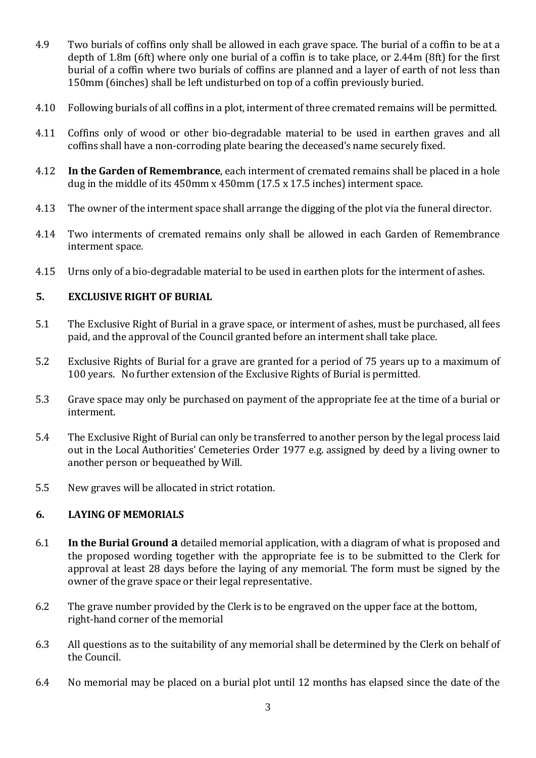- 4.9 Two burials of coffins only shall be allowed in each grave space. The burial of a coffin to be at a depth of 1.8m (6ft) where only one burial of a coffin is to take place, or 2.44m (8ft) for the first burial of a coffin where two burials of coffins are planned and a layer of earth of not less than 150mm (6inches) shall be left undisturbed on top of a coffin previously buried.
- 4.10 Following burials of all coffins in a plot, interment of three cremated remains will be permitted.
- 4.11 Coffins only of wood or other bio-degradable material to be used in earthen graves and all coffins shall have a non-corroding plate bearing the deceased's name securely fixed.
- 4.12 **In the Garden of Remembrance**, each interment of cremated remains shall be placed in a hole dug in the middle of its 450mm x 450mm (17.5 x 17.5 inches) interment space.
- 4.13 The owner of the interment space shall arrange the digging of the plot via the funeral director.
- 4.14 Two interments of cremated remains only shall be allowed in each Garden of Remembrance interment space.
- 4.15 Urns only of a bio-degradable material to be used in earthen plots for the interment of ashes.

# **5. EXCLUSIVE RIGHT OF BURIAL**

- 5.1 The Exclusive Right of Burial in a grave space, or interment of ashes, must be purchased, all fees paid, and the approval of the Council granted before an interment shall take place.
- 5.2 Exclusive Rights of Burial for a grave are granted for a period of 75 years up to a maximum of 100 years. No further extension of the Exclusive Rights of Burial is permitted.
- 5.3 Grave space may only be purchased on payment of the appropriate fee at the time of a burial or interment.
- 5.4 The Exclusive Right of Burial can only be transferred to another person by the legal process laid out in the Local Authorities' Cemeteries Order 1977 e.g. assigned by deed by a living owner to another person or bequeathed by Will.
- 5.5 New graves will be allocated in strict rotation.

# **6. LAYING OF MEMORIALS**

- 6.1 **In the Burial Ground a** detailed memorial application, with a diagram of what is proposed and the proposed wording together with the appropriate fee is to be submitted to the Clerk for approval at least 28 days before the laying of any memorial. The form must be signed by the owner of the grave space or their legal representative.
- 6.2 The grave number provided by the Clerk is to be engraved on the upper face at the bottom, right-hand corner of the memorial
- 6.3 All questions as to the suitability of any memorial shall be determined by the Clerk on behalf of the Council.
- 6.4 No memorial may be placed on a burial plot until 12 months has elapsed since the date of the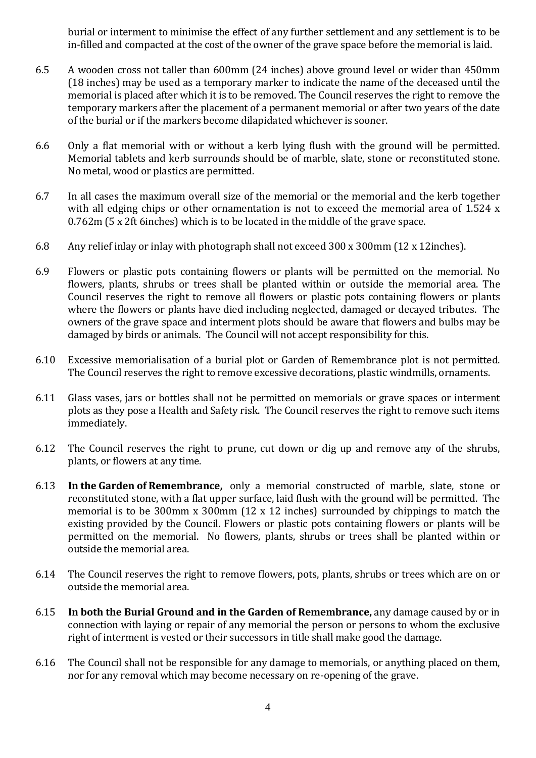burial or interment to minimise the effect of any further settlement and any settlement is to be in-filled and compacted at the cost of the owner of the grave space before the memorial is laid.

- 6.5 A wooden cross not taller than 600mm (24 inches) above ground level or wider than 450mm (18 inches) may be used as a temporary marker to indicate the name of the deceased until the memorial is placed after which it is to be removed. The Council reserves the right to remove the temporary markers after the placement of a permanent memorial or after two years of the date of the burial or if the markers become dilapidated whichever is sooner.
- 6.6 Only a flat memorial with or without a kerb lying flush with the ground will be permitted. Memorial tablets and kerb surrounds should be of marble, slate, stone or reconstituted stone. No metal, wood or plastics are permitted.
- 6.7 In all cases the maximum overall size of the memorial or the memorial and the kerb together with all edging chips or other ornamentation is not to exceed the memorial area of 1.524 x 0.762m (5 x 2ft 6inches) which is to be located in the middle of the grave space.
- 6.8 Any relief inlay or inlay with photograph shall not exceed 300 x 300mm (12 x 12inches).
- 6.9 Flowers or plastic pots containing flowers or plants will be permitted on the memorial. No flowers, plants, shrubs or trees shall be planted within or outside the memorial area. The Council reserves the right to remove all flowers or plastic pots containing flowers or plants where the flowers or plants have died including neglected, damaged or decayed tributes. The owners of the grave space and interment plots should be aware that flowers and bulbs may be damaged by birds or animals. The Council will not accept responsibility for this.
- 6.10 Excessive memorialisation of a burial plot or Garden of Remembrance plot is not permitted. The Council reserves the right to remove excessive decorations, plastic windmills, ornaments.
- 6.11 Glass vases, jars or bottles shall not be permitted on memorials or grave spaces or interment plots as they pose a Health and Safety risk. The Council reserves the right to remove such items immediately.
- 6.12 The Council reserves the right to prune, cut down or dig up and remove any of the shrubs, plants, or flowers at any time.
- 6.13 **In the Garden of Remembrance,** only a memorial constructed of marble, slate, stone or reconstituted stone, with a flat upper surface, laid flush with the ground will be permitted. The memorial is to be 300mm x 300mm (12 x 12 inches) surrounded by chippings to match the existing provided by the Council. Flowers or plastic pots containing flowers or plants will be permitted on the memorial. No flowers, plants, shrubs or trees shall be planted within or outside the memorial area.
- 6.14 The Council reserves the right to remove flowers, pots, plants, shrubs or trees which are on or outside the memorial area.
- 6.15 **In both the Burial Ground and in the Garden of Remembrance,** any damage caused by or in connection with laying or repair of any memorial the person or persons to whom the exclusive right of interment is vested or their successors in title shall make good the damage.
- 6.16 The Council shall not be responsible for any damage to memorials, or anything placed on them, nor for any removal which may become necessary on re-opening of the grave.